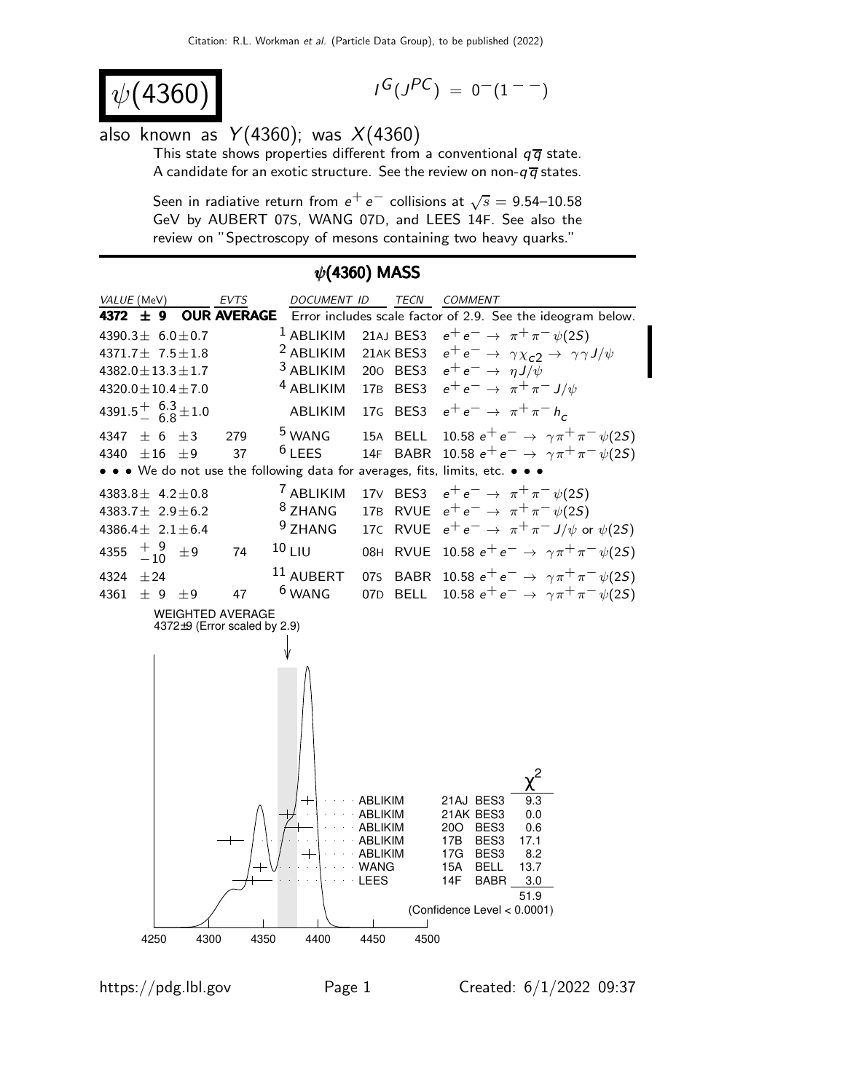$$
\psi(4360) \tag{4360}
$$

$$
I^G(J^{PC}) = 0^-(1^{--})
$$

## also known as  $Y(4360)$ ; was  $X(4360)$

This state shows properties different from a conventional  $q\overline{q}$  state. A candidate for an exotic structure. See the review on non- $q\overline{q}$  states.

Seen in radiative return from  $e^+ \, e^-$  collisions at  $\sqrt{s} =$  9.54–10.58 GeV by AUBERT 07S, WANG 07D, and LEES 14F. See also the review on "Spectroscopy of mesons containing two heavy quarks."

#### VALUE (MeV) **EVTS** DOCUMENT ID TECN COMMENT **4372**  $\pm$  **9 OUR AVERAGE** Error includes scale factor of 2.9. See the ideogram below.<br>4390.3 $\pm$  6.0 $\pm$ 0.7 <sup>1</sup> ABLIKIM 21AJ BES3  $e^+e^- \rightarrow \pi^+\pi^-\psi(2S)$ <sup>1</sup> ABLIKIM 21AJ BES3  $e^+e^- \rightarrow \pi^+\pi^-\psi(2S)$ <br><sup>2</sup> ABLIKIM 21AK BES3  $e^+e^- \rightarrow \gamma\chi_{c2} \rightarrow \gamma\gamma$  $4390.3 + 6.0 + 0.7$ <sup>2</sup> ABLIKIM 21AK BES3  $e^+e^- \rightarrow \gamma \chi_{c2} \rightarrow \gamma \gamma J/\psi$ <br><sup>3</sup> ABLIKIM 200 BES3  $e^+e^- \rightarrow \eta J/\psi$ 4371.7± 7.5±1.8 <sup>3</sup> ABLIKIM 200 BES3  $e^+e^- \rightarrow \eta J/\psi$ <br><sup>4</sup> ABLIKIM 17B BES3  $e^+e^- \rightarrow \pi^+\pi^-$ 4382.0±13.3±1.7 17B BES3  $e^+e^- \rightarrow \pi^+\pi^- J/\psi$  $4320.0 \pm 10.4 \pm 7.0$  $4391.5^{+6.3}_{-6.8}$ ABLIKIM 17G BES3  $e^+e^- \rightarrow \pi^+ \pi^- h_c$  $-6.8$  $4347 \pm 6 \pm 3$  279 <sup>5</sup> WANG 15A BELL 10.58  $e^+e^- \rightarrow \gamma \pi^+ \pi^- \psi(2S)$ <br>  $4340 \pm 16 \pm 9$  37 <sup>6</sup> LEES 14F BABR 10.58  $e^+e^- \rightarrow \gamma \pi^+ \pi^- \psi(2S)$ 14F BABR 10.58  $e^+e^- \to \gamma \pi^+ \pi^- \psi(2S)$ • • • We do not use the following data for averages, fits, limits, etc. • • • <sup>7</sup> ABLIKIM 17V BES3  $e^+e^- \rightarrow \pi^+\pi^-\psi(2S)$ <br><sup>8</sup> ZHANG 17B RVUE  $e^+e^- \rightarrow \pi^+\pi^-\psi(2S)$ 4383.8± 4.2±0.8 8 ZHANG 17B RVUE  $e^+e^- \rightarrow \pi^+\pi^-\psi(25)$ <br>9 ZHANG 17C RVUE  $e^+e^- \rightarrow \pi^+\pi^-\psi(25)$ 4383.7± 2.9±6.2  $4386.4 \pm 2.1 \pm 6.4$ 17C RVUE  $e^+e^- \rightarrow \pi^+\pi^- J/\psi$  or  $\psi(2S)$ 4355  $+$  9<br>-10 4355  $\frac{+}{-10}$  ±9 74 <sup>10</sup> LIU 08H RVUE 10.58 e<sup>+</sup> e<sup>−</sup> →  $\gamma \pi^+ \pi^- \psi(2S)$ <br>4324 ±24 <sup>11</sup> AUBERT 075 BABR 10.58 e<sup>+</sup> e<sup>−</sup> →  $\gamma \pi^+ \pi^- \psi(2S)$ 4324 ±24 11 AUBERT 07S BABR 10.58  $e^+e^- \rightarrow \gamma \pi^+ \pi^- \psi(2S)$ <br>4361 ± 9 ± 9 47 <sup>6</sup> WANG 07D BELL 10.58  $e^+e^- \rightarrow \gamma \pi^+ \pi^- \psi(2S)$ 07D BELL  $10.58 e^+ e^- \rightarrow \gamma \pi^+ \pi^- \psi(25)$ WEIGHTED AVERAGE 4372±9 (Error scaled by 2.9) 2 χ ABLIKIM 21AJ BES3 ABLIKIM 21AK BES3 0.0 ABLIKIM 20O BES3 0.6 ABLIKIM 17B BES3 17.1 ABLIKIM 17G BES3 8.2 WANG 15A BELL 13.7 LEES 14F BABR 3.0 51.9 (Confidence Level < 0.0001)  $\overline{\phantom{a}}$ 4250 4300 4350 4400 4450 4500

### $\psi$ (4360) MASS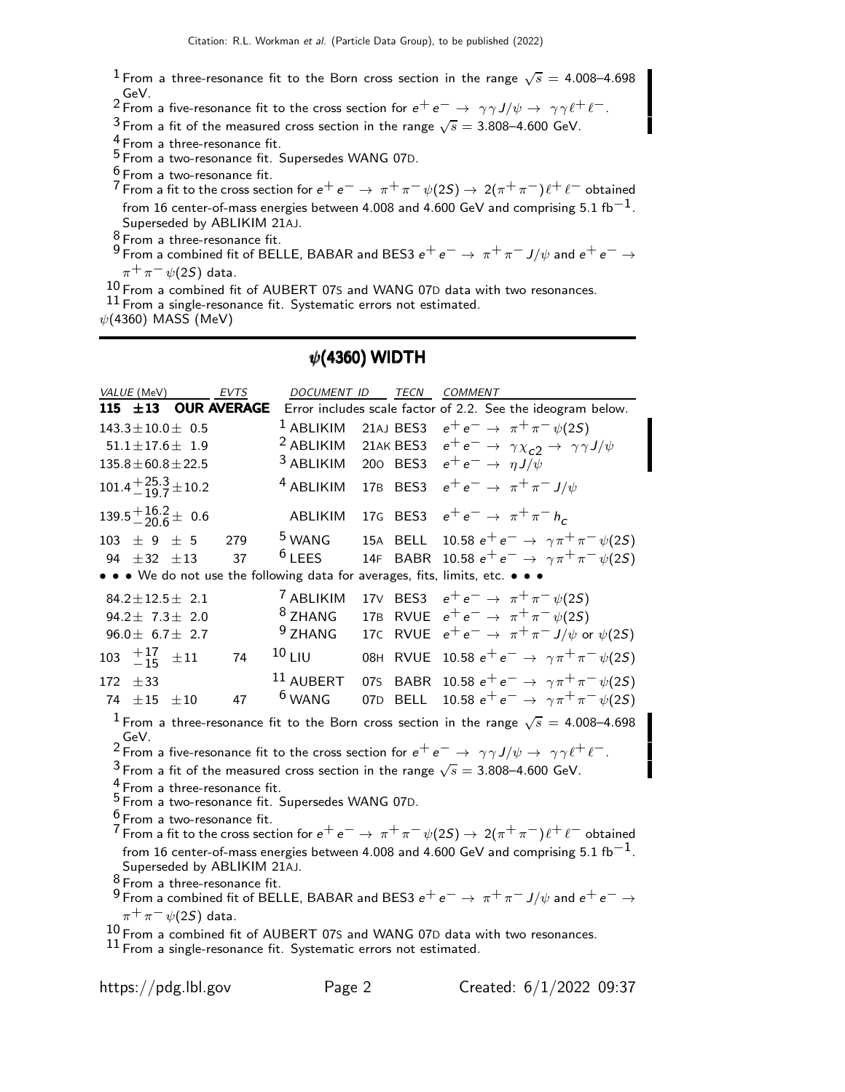$^1$  From a three-resonance fit to the Born cross section in the range  $\sqrt{s} =$  4.008–4.698

GeV.<br><sup>2</sup> From a five-resonance fit to the cross section for  $e^+e^-\to\ \gamma\gamma J/\psi\to\ \gamma\gamma\ell^+\ell^-.$ 

 $^3$  From a fit of the measured cross section in the range  $\sqrt{s}=$  3.808–4.600 GeV.

4 From a three-resonance fit.

5 From a two-resonance fit. Supersedes WANG 07D.

 $\frac{6}{7}$  From a two-resonance fit.

7 From a fit to the cross section for  $e^+e^-\to \pi^+\pi^-\psi(2S)\to 2(\pi^+\pi^-)\ell^+\ell^-$  obtained from 16 center-of-mass energies between 4.008 and 4.600 GeV and comprising 5.1 fb<sup>-1</sup>. Superseded by ABLIKIM 21AJ.

 $\frac{8}{9}$  From a three-resonance fit.

 $^9$  From a combined fit of BELLE, BABAR and BES3  $e^+ \, e^- \rightarrow \, \pi^+ \, \pi^- \, J/\psi$  and  $e^+ \, e^- \rightarrow \, \pi^ \pi^+\pi^-\psi(2S)$  data.

 $10$  From a combined fit of AUBERT 07S and WANG 07D data with two resonances.

11 From a single-resonance fit. Systematic errors not estimated.

 $\psi(4360)$  MASS (MeV)

#### $\psi$ (4360) WIDTH

|                                                                                                                                                                         | VALUE (MeV)          |                                           | <b>EVTS</b>        | DOCUMENT ID                                                           |                 | <b>TECN</b> | <b>COMMENT</b>                                                                                                             |
|-------------------------------------------------------------------------------------------------------------------------------------------------------------------------|----------------------|-------------------------------------------|--------------------|-----------------------------------------------------------------------|-----------------|-------------|----------------------------------------------------------------------------------------------------------------------------|
|                                                                                                                                                                         | 115 $\pm$ 13         |                                           | <b>OUR AVERAGE</b> |                                                                       |                 |             | Error includes scale factor of 2.2. See the ideogram below.                                                                |
|                                                                                                                                                                         |                      | $143.3 \pm 10.0 \pm 0.5$                  |                    | $1$ ABLIKIM                                                           |                 | 21AJ BES3   | $e^+e^- \rightarrow \pi^+\pi^-\psi(2S)$                                                                                    |
|                                                                                                                                                                         |                      | $51.1 \pm 17.6 \pm 1.9$                   |                    | <sup>2</sup> ABLIKIM                                                  |                 | 21AK BES3   | $e^+e^- \rightarrow \gamma \chi_{c2} \rightarrow \gamma \gamma J/\psi$                                                     |
|                                                                                                                                                                         |                      | $135.8 \pm 60.8 \pm 22.5$                 |                    | <sup>3</sup> ABLIKIM                                                  |                 | 200 BES3    | $e^+e^- \rightarrow \eta J/\psi$                                                                                           |
|                                                                                                                                                                         |                      | $101.4 + {25.3 \over -19.7} \pm 10.2$     |                    | <sup>4</sup> ABLIKIM                                                  |                 | 17B BES3    | $e^+e^- \rightarrow \pi^+\pi^- J/\psi$                                                                                     |
|                                                                                                                                                                         |                      | $139.5 + {16.2 \atop -} 20.6 + 0.6$       |                    | ABLIKIM                                                               |                 |             | 17G BES3 $e^+e^- \to \pi^+\pi^- h_c$                                                                                       |
|                                                                                                                                                                         | 103 $\pm$ 9 $\pm$ 5  |                                           | 279                | <sup>5</sup> WANG                                                     |                 | 15A BELL    | 10.58 $e^+e^- \rightarrow \gamma \pi^+ \pi^- \psi(2S)$                                                                     |
|                                                                                                                                                                         | 94 $\pm 32$ $\pm 13$ |                                           | 37                 | $6$ LEES                                                              |                 | 14F BABR    | 10.58 $e^+e^- \rightarrow \gamma \pi^+ \pi^- \psi(2S)$                                                                     |
|                                                                                                                                                                         |                      |                                           |                    |                                                                       |                 |             | • • • We do not use the following data for averages, fits, limits, etc. • • •                                              |
|                                                                                                                                                                         |                      | 84.2 ± 12.5 ± 2.1                         |                    | 7 ABLIKIM                                                             |                 |             | 17V BES3 $e^+e^- \to \pi^+\pi^-\psi(2S)$                                                                                   |
|                                                                                                                                                                         |                      | 94.2 $\pm$ 7.3 $\pm$ 2.0                  |                    | <sup>8</sup> ZHANG                                                    |                 |             | 17B RVUE $e^+e^- \to \pi^+\pi^-\psi(2S)$                                                                                   |
|                                                                                                                                                                         |                      | $96.0 \pm 6.7 \pm 2.7$                    |                    | <sup>9</sup> ZHANG                                                    | 17 <sub>C</sub> | <b>RVUE</b> | $e^+e^- \rightarrow \pi^+\pi^- J/\psi$ or $\psi(2S)$                                                                       |
| 103                                                                                                                                                                     | $+17$<br>$-15$       | $\pm 11$                                  | 74                 | 10L                                                                   |                 | 08H RVUE    | 10.58 $e^+e^- \rightarrow \gamma \pi^+ \pi^- \psi(2S)$                                                                     |
|                                                                                                                                                                         | 172 $\pm 33$         |                                           |                    | 11 AUBERT                                                             |                 |             | 075 BABR 10.58 $e^+e^- \rightarrow \gamma \pi^+ \pi^- \psi(25)$                                                            |
|                                                                                                                                                                         | 74 $\pm 15$          | $\pm\,10$                                 | 47                 | $6$ WANG                                                              |                 | 07D BELL    | 10.58 $e^+e^- \rightarrow \gamma \pi^+ \pi^- \psi(2S)$                                                                     |
|                                                                                                                                                                         |                      |                                           |                    |                                                                       |                 |             | $^1$ From a three-resonance fit to the Born cross section in the range $\sqrt{s} =$ 4.008–4.698                            |
|                                                                                                                                                                         | GeV.                 |                                           |                    |                                                                       |                 |             |                                                                                                                            |
|                                                                                                                                                                         |                      |                                           |                    |                                                                       |                 |             | <sup>2</sup> From a five-resonance fit to the cross section for $e^+e^-\to\gamma\gamma J/\psi\to\gamma\gamma\ell^+\ell^-.$ |
|                                                                                                                                                                         |                      |                                           |                    |                                                                       |                 |             | <sup>3</sup> From a fit of the measured cross section in the range $\sqrt{s} = 3.808$ –4.600 GeV.                          |
|                                                                                                                                                                         |                      | $\frac{4}{1}$ From a three-resonance fit. |                    |                                                                       |                 |             |                                                                                                                            |
|                                                                                                                                                                         |                      |                                           |                    | <sup>5</sup> From a two-resonance fit. Supersedes WANG 07D.           |                 |             |                                                                                                                            |
| $\frac{6}{5}$ From a two-resonance fit.<br>$^7$ From a fit to the cross section for $e^+ \, e^- \to \, \pi^+ \pi^- \psi(2S) \to 2 (\pi^+ \pi^-) \ell^+ \ell^-$ obtained |                      |                                           |                    |                                                                       |                 |             |                                                                                                                            |
| from 16 center-of-mass energies between 4.008 and 4.600 GeV and comprising 5.1 fb $^{-1}$ .                                                                             |                      |                                           |                    |                                                                       |                 |             |                                                                                                                            |
| Superseded by ABLIKIM 21AJ.                                                                                                                                             |                      |                                           |                    |                                                                       |                 |             |                                                                                                                            |
| $8$ From a three-resonance fit.                                                                                                                                         |                      |                                           |                    |                                                                       |                 |             |                                                                                                                            |
|                                                                                                                                                                         |                      |                                           |                    |                                                                       |                 |             | $^9$ From a combined fit of BELLE, BABAR and BES3 $e^+e^-\rightarrow\pi^+\pi^-$ J/ $\psi$ and $e^+e^-\rightarrow$          |
|                                                                                                                                                                         |                      | $\pi^+\pi^-\psi(2S)$ data.                |                    |                                                                       |                 |             |                                                                                                                            |
|                                                                                                                                                                         |                      |                                           |                    | $^{11}$ From a single-resonance fit. Systematic errors not estimated. |                 |             | $10$ From a combined fit of AUBERT 07S and WANG 07D data with two resonances.                                              |

https://pdg.lbl.gov Page 2 Created: 6/1/2022 09:37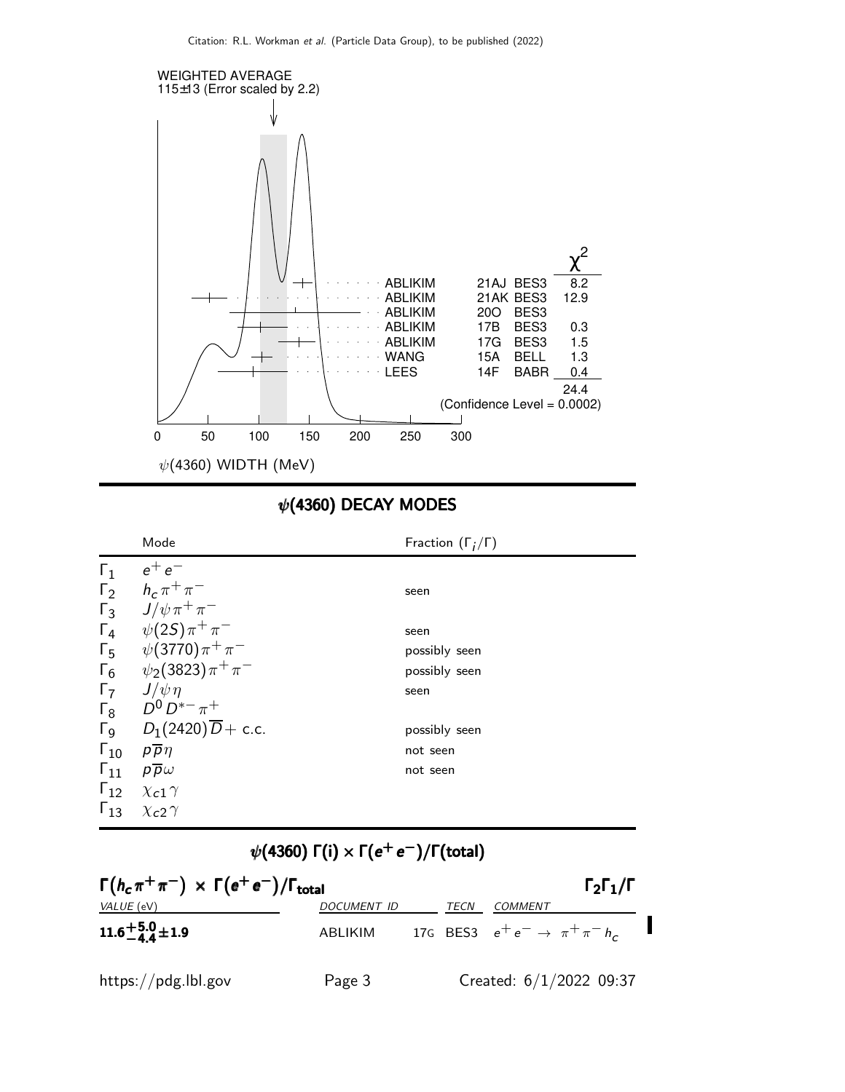

# $\psi$ (4360) DECAY MODES

|               | Mode                                                 | Fraction $(\Gamma_i/\Gamma)$ |
|---------------|------------------------------------------------------|------------------------------|
| $\Gamma_1$    | $e^+e^-$                                             |                              |
| $\Gamma_2$    | $h_c \pi^+ \pi^-$                                    | seen                         |
| $\Gamma_3$    | $J/\psi \pi^+ \pi^-$                                 |                              |
| $\Gamma_4$    | $\psi(2S)\pi^{+}\pi^{-}$                             | seen                         |
| $\Gamma_5$    | $\psi(3770)\pi^{+}\pi^{-}$                           | possibly seen                |
| $\Gamma_6$    | $\psi_2(3823)\pi^+\pi^-$                             | possibly seen                |
| $\Gamma_7$    | $J/\psi \eta$                                        | seen                         |
| $\Gamma_8$    | $D^0 D^{*-} \pi^+$                                   |                              |
|               | $\Gamma$ <sub>9</sub> $D_1(2420)\overline{D}$ + c.c. | possibly seen                |
| $\Gamma_{10}$ | $p\overline{p}\eta$                                  | not seen                     |
| $\Gamma_{11}$ | $p\overline{p}\omega$                                | not seen                     |
|               | $\Gamma_{12}$ $\chi_{c1} \gamma$                     |                              |
| $\Gamma_{13}$ | $\chi$ <sub>c</sub> 2 $\gamma$                       |                              |

 $\psi($ 4360) Γ(i)  $\times$  Γ( $e^+$   $e^-)$ /Γ(total)

| $\Gamma(h_c \pi^+ \pi^-) \times \Gamma(e^+ e^-)/\Gamma_{\text{total}}$<br>$\Gamma_2\Gamma_1/\Gamma$ |                    |  |      |                                             |                           |  |  |
|-----------------------------------------------------------------------------------------------------|--------------------|--|------|---------------------------------------------|---------------------------|--|--|
| <i>VALUE</i> (eV)                                                                                   | <b>DOCUMENT ID</b> |  | TECN | COMMENT                                     |                           |  |  |
| 11.6 $^{+5.0}_{-4.4}$ ± 1.9                                                                         | ABLIKIM            |  |      | 17G BES3 $e^+e^- \rightarrow \pi^+\pi^-h_c$ |                           |  |  |
| https://pdg.lbl.gov                                                                                 | Page 3             |  |      |                                             | Created: $6/1/2022$ 09:37 |  |  |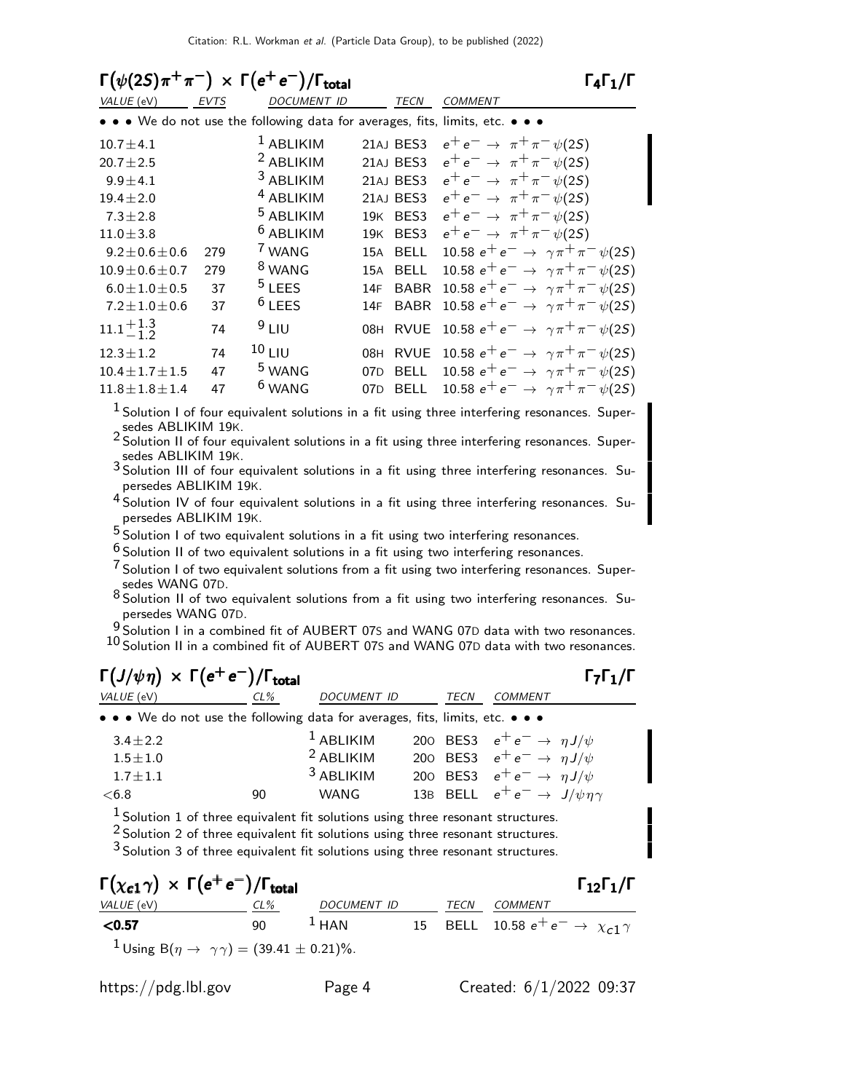| $\Gamma(\psi(2S)\pi^+\pi^-) \times \Gamma(e^+e^-)/\Gamma_{\text{total}}$<br>$\Gamma_4\Gamma_1/\Gamma$ |      |                                                                               |                    |                                                        |  |  |  |
|-------------------------------------------------------------------------------------------------------|------|-------------------------------------------------------------------------------|--------------------|--------------------------------------------------------|--|--|--|
| VALUE (eV)                                                                                            | EVTS | <b>DOCUMENT ID</b>                                                            | <b>TECN</b>        | <b>COMMENT</b>                                         |  |  |  |
|                                                                                                       |      | • • • We do not use the following data for averages, fits, limits, etc. • • • |                    |                                                        |  |  |  |
| $10.7 \pm 4.1$                                                                                        |      | $1$ ABLIKIM                                                                   | 21AJ BES3          | $e^+e^- \to \pi^+\pi^-\psi(2S)$                        |  |  |  |
| $20.7 \pm 2.5$                                                                                        |      | <sup>2</sup> ABLIKIM                                                          | 21AJ BES3          | $e^+e^- \to \pi^+\pi^-\psi(2S)$                        |  |  |  |
| $9.9 \pm 4.1$                                                                                         |      | <sup>3</sup> ABLIKIM                                                          | 21AJ BES3          | $e^+e^- \to \pi^+\pi^-\psi(2S)$                        |  |  |  |
| $19.4 \pm 2.0$                                                                                        |      | <sup>4</sup> ABLIKIM                                                          | 21AJ BES3          | $e^+e^- \rightarrow \pi^+\pi^-\psi(2S)$                |  |  |  |
| $7.3 \pm 2.8$                                                                                         |      | <sup>5</sup> ABLIKIM                                                          | 19K BES3           | $e^+e^- \rightarrow \pi^+\pi^-\psi(2S)$                |  |  |  |
| $11.0 \pm 3.8$                                                                                        |      | <sup>6</sup> ABLIKIM                                                          | BES3<br>19K        | $e^+e^- \rightarrow \pi^+\pi^-\psi(2S)$                |  |  |  |
| $9.2 \pm 0.6 \pm 0.6$                                                                                 | 279  | <sup>7</sup> WANG                                                             | <b>BELL</b><br>15A | 10.58 $e^+e^- \rightarrow \gamma \pi^+ \pi^- \psi(25)$ |  |  |  |
| $10.9 \pm 0.6 \pm 0.7$                                                                                | 279  | <sup>8</sup> WANG                                                             | <b>BELL</b><br>15A | 10.58 $e^+e^- \rightarrow \gamma \pi^+ \pi^- \psi(25)$ |  |  |  |
| $6.0 \pm 1.0 \pm 0.5$                                                                                 | 37   | <sup>5</sup> LEES                                                             | <b>BABR</b><br>14F | 10.58 $e^+e^- \rightarrow \gamma \pi^+ \pi^- \psi(25)$ |  |  |  |
| $7.2 \pm 1.0 \pm 0.6$                                                                                 | 37   | <sup>6</sup> LEES                                                             | <b>BABR</b><br>14F | 10.58 $e^+e^- \rightarrow \gamma \pi^+ \pi^- \psi(25)$ |  |  |  |
| $11.1 + 1.3$                                                                                          | 74   | 9LIU                                                                          | <b>RVUE</b><br>08H | 10.58 $e^+e^- \rightarrow \gamma \pi^+ \pi^- \psi(2S)$ |  |  |  |
| $12.3 \pm 1.2$                                                                                        | 74   | <sup>10</sup> LIU                                                             | <b>RVUE</b><br>08H | 10.58 $e^+e^- \rightarrow \gamma \pi^+ \pi^- \psi(25)$ |  |  |  |
| $10.4 \pm 1.7 \pm 1.5$                                                                                | 47   | <sup>5</sup> WANG                                                             | <b>BELL</b><br>07D | 10.58 $e^+e^- \rightarrow \gamma \pi^+ \pi^- \psi(2S)$ |  |  |  |
| $11.8 \pm 1.8 \pm 1.4$                                                                                | 47   | <sup>6</sup> WANG                                                             | <b>BELL</b><br>07D | 10.58 $e^+e^- \rightarrow \gamma \pi^+ \pi^- \psi(2S)$ |  |  |  |

 $<sup>1</sup>$  Solution I of four equivalent solutions in a fit using three interfering resonances. Super-</sup> sedes ABLIKIM 19K.

2 Solution II of four equivalent solutions in a fit using three interfering resonances. Supersedes ABLIKIM 19K.

- 3 Solution III of four equivalent solutions in a fit using three interfering resonances. Supersedes ABLIKIM 19K.
- 4 Solution IV of four equivalent solutions in a fit using three interfering resonances. Supersedes ABLIKIM 19K.
- $5$  Solution I of two equivalent solutions in a fit using two interfering resonances.

 $6$  Solution II of two equivalent solutions in a fit using two interfering resonances.

- $7$  Solution I of two equivalent solutions from a fit using two interfering resonances. Supersedes WANG 07D.
- 8 Solution II of two equivalent solutions from a fit using two interfering resonances. Supersedes WANG 07D.

9 Solution I in a combined fit of AUBERT 07S and WANG 07D data with two resonances. 10 Solution II in a combined fit of AUBERT 07S and WANG 07D data with two resonances.

#### $\Gamma(J/\psi \, \eta) \; \times \; \Gamma(e^+ \, e^-)/\Gamma_{\rm total}$  Γ<sub>7</sub>Γ<sub>1</sub>/Γ VALUE (eV) CL% DOCUMENT ID TECN COMMENT • • • We do not use the following data for averages, fits, limits, etc. •  $3.4 \pm 2.2$ <sup>1</sup> ABLIKIM 200 BES3  $e^+e^- \rightarrow \eta J/\psi$ <br><sup>2</sup> ABLIKIM 200 BES3  $e^+e^- \rightarrow \eta J/\psi$  $1.5 \pm 1.0$  $^2$ ABLIKIM 200 BES3  $e^+e^- \rightarrow \eta J/\psi$ <br> $^3$ ABLIKIM 200 BES3  $e^+e^- \rightarrow \eta J/\psi$  $1.7 \pm 1.1$ <br><6.8 ABLIKIM 200 BES3  $e^+e^- \rightarrow \eta J/\psi$ <br>WANG 13B BELL  $e^+e^- \rightarrow J/\psi m$ 90 WANG 13B BELL  $e^+e^- \rightarrow J/\psi \eta \gamma$  $<sup>1</sup>$  Solution 1 of three equivalent fit solutions using three resonant structures.</sup> <sup>2</sup> Solution 2 of three equivalent fit solutions using three resonant structures.

<sup>3</sup> Solution 3 of three equivalent fit solutions using three resonant structures.

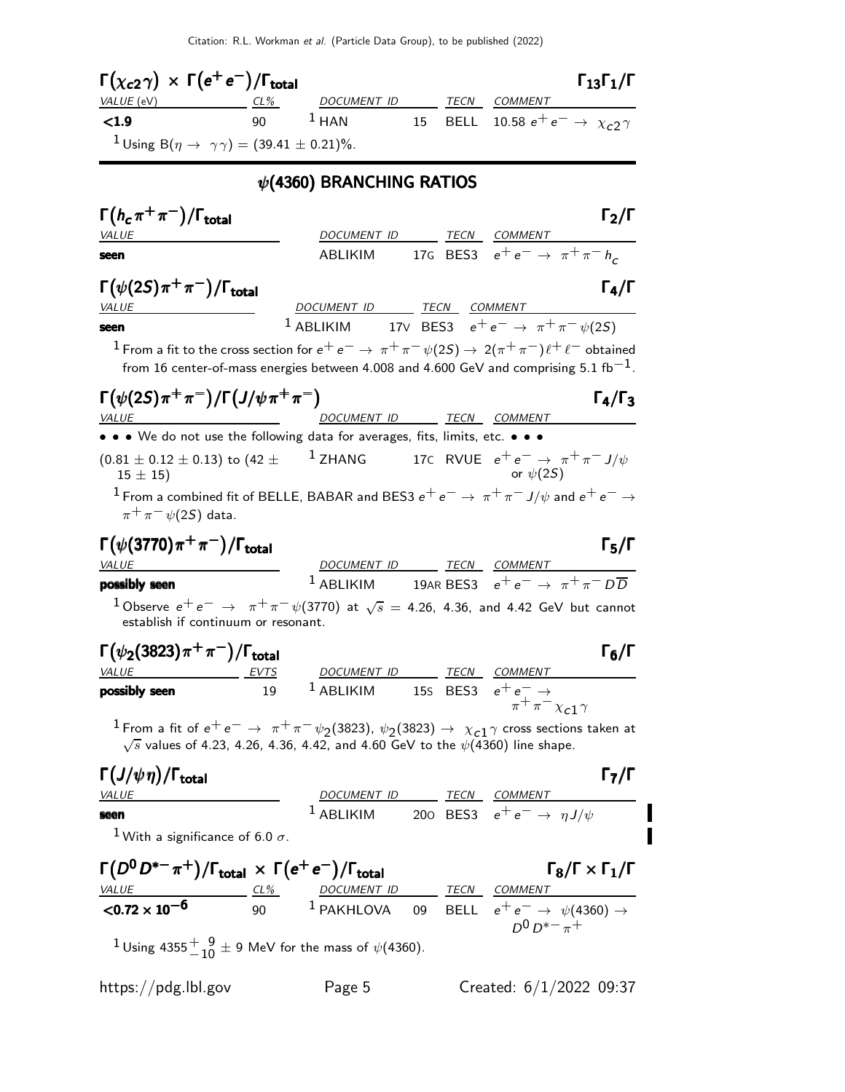| $\Gamma(\chi_{c2}\gamma) \, \times \, \Gamma(e^+ \, e^-)/\Gamma_{\rm total}$                                                                                                                                       |                                         |                                                                                |    |             |                                             | $\Gamma_{13}\Gamma_1/\Gamma$             |
|--------------------------------------------------------------------------------------------------------------------------------------------------------------------------------------------------------------------|-----------------------------------------|--------------------------------------------------------------------------------|----|-------------|---------------------------------------------|------------------------------------------|
| VALUE (eV)                                                                                                                                                                                                         | $CL\%$                                  | DOCUMENT ID                                                                    |    |             | TECN COMMENT                                |                                          |
| < 1.9                                                                                                                                                                                                              | 90                                      | $1$ HAN                                                                        | 15 | <b>BELL</b> |                                             | 10.58 $e^+e^- \to \chi_{c2} \gamma$      |
| <sup>1</sup> Using B( $\eta \to \gamma \gamma$ ) = (39.41 ± 0.21)%.                                                                                                                                                |                                         |                                                                                |    |             |                                             |                                          |
|                                                                                                                                                                                                                    |                                         | $\psi$ (4360) BRANCHING RATIOS                                                 |    |             |                                             |                                          |
| $\Gamma(h_c\pi^+\pi^-)/\Gamma_{\rm total}$                                                                                                                                                                         |                                         |                                                                                |    |             |                                             | $\Gamma_2/\Gamma$                        |
| <b>VALUE</b>                                                                                                                                                                                                       |                                         | DOCUMENT ID TECN COMMENT<br>ABLIKIM                                            |    |             | 17G BES3 $e^+e^- \rightarrow \pi^+\pi^-h_c$ |                                          |
| seen                                                                                                                                                                                                               |                                         |                                                                                |    |             |                                             |                                          |
| $\Gamma(\psi(2S)\pi^+\pi^-)/\Gamma_{\rm total}$<br>VALUE                                                                                                                                                           |                                         | DOCUMENT ID TECN COMMENT                                                       |    |             |                                             | $\Gamma_4/\Gamma$                        |
| seen                                                                                                                                                                                                               |                                         | <sup>1</sup> ABLIKIM 17V BES3 $e^+e^- \rightarrow \pi^+\pi^-\psi(25)$          |    |             |                                             |                                          |
| $1$ From a fit to the cross section for $e^+e^-\to\pi^+\pi^-\psi(2S)\to 2(\pi^+\pi^-)\ell^+\ell^-$ obtained<br>from 16 center-of-mass energies between 4.008 and 4.600 GeV and comprising 5.1 $\rm fb^{-1}.$       |                                         |                                                                                |    |             |                                             |                                          |
| $\Gamma(\psi(2S)\pi^+\pi^-)/\Gamma(J/\psi\pi^+\pi^-)$<br><b>VALUE</b>                                                                                                                                              | <u> 1989 - Johann Barbara, martin a</u> | DOCUMENT ID                                                                    |    |             | TECN COMMENT                                | $\Gamma_4/\Gamma_3$                      |
| • • • We do not use the following data for averages, fits, limits, etc. • • •                                                                                                                                      |                                         |                                                                                |    |             |                                             |                                          |
| $(0.81 \pm 0.12 \pm 0.13)$ to $(42 \pm 12)$ ZHANG 17C RVUE $e^+e^- \rightarrow \pi^+\pi^- J/\psi$<br>$15 \pm 15$                                                                                                   |                                         |                                                                                |    |             | or $\psi(2S)$                               |                                          |
| $^1$ From a combined fit of BELLE, BABAR and BES3 $e^+e^-\rightarrow\pi^+\pi^-$ J/ $\psi$ and $e^+e^-\rightarrow$<br>$\pi^+\pi^-\psi(2S)$ data.                                                                    |                                         |                                                                                |    |             |                                             |                                          |
| $\Gamma(\psi(3770)\pi^+\pi^-)/\Gamma_{\rm total}$<br><b>VALUE</b>                                                                                                                                                  |                                         | DOCUMENT ID TECN COMMENT                                                       |    |             |                                             | $\Gamma_5/\Gamma$                        |
| possibly seen                                                                                                                                                                                                      |                                         | <sup>1</sup> ABLIKIM 19AR BES3 $e^+e^- \rightarrow \pi^+\pi^- D\overline{D}$   |    |             |                                             |                                          |
| $1$ Observe $e^+e^ \rightarrow \pi^+\pi^-\psi(3770)$ at $\sqrt{s}$ = 4.26, 4.36, and 4.42 GeV but cannot<br>establish if continuum or resonant.                                                                    |                                         |                                                                                |    |             |                                             |                                          |
| $\Gamma(\psi_2(3823)\pi^+\pi^-)/\Gamma_{\rm total}$                                                                                                                                                                |                                         |                                                                                |    |             |                                             | $\Gamma_6/\Gamma$                        |
| <u>EVTS</u><br><b>VALUE</b><br>possibly seen                                                                                                                                                                       | 19                                      | DOCUMENT ID TECN COMMENT<br><sup>1</sup> ABLIKIM 15S BES3 $e^+e^- \rightarrow$ |    |             |                                             |                                          |
|                                                                                                                                                                                                                    |                                         |                                                                                |    |             | $\pi^+\pi^-\chi_{c1}\gamma$                 |                                          |
| $^1$ From a fit of $e^+e^-\to~\pi^+\pi^-\psi_2$ (3823), $\psi_2$ (3823) $\to~\chi_{c1}\gamma$ cross sections taken at<br>$\sqrt{s}$ values of 4.23, 4.26, 4.36, 4.42, and 4.60 GeV to the $\psi(4360)$ line shape. |                                         |                                                                                |    |             |                                             |                                          |
| $\Gamma(J/\psi\eta)/\Gamma_{\rm total}$                                                                                                                                                                            |                                         |                                                                                |    |             |                                             | $\Gamma_7/\Gamma$                        |
| <b>VALUE</b>                                                                                                                                                                                                       |                                         | DOCUMENT ID TECN COMMENT                                                       |    |             |                                             |                                          |
| seen                                                                                                                                                                                                               |                                         | <sup>1</sup> ABLIKIM 200 BES3 $e^+e^- \rightarrow \eta J/\psi$                 |    |             |                                             |                                          |
| <sup>1</sup> With a significance of 6.0 $\sigma$ .                                                                                                                                                                 |                                         |                                                                                |    |             |                                             |                                          |
| $\Gamma(D^0D^{*-}\pi^+) / \Gamma_{\text{total}} \times \Gamma(e^+e^-) / \Gamma_{\text{total}}$                                                                                                                     |                                         |                                                                                |    |             |                                             | $\Gamma_8/\Gamma \times \Gamma_1/\Gamma$ |
| $\frac{VALUE}{20.72 \times 10^{-6}}$ $\frac{CL\%}{90}$ $\frac{DOCUMENTID}{1}$ $\frac{TECN}{PELL}$ $\frac{COMMENT}{e^+e^-}$ $\frac{\psi(4360)}{1}$                                                                  |                                         |                                                                                |    |             | $D^{0}D^{*-}\pi^{+}$                        |                                          |
| <sup>1</sup> Using 4355 $^{+}_{-10}$ ± 9 MeV for the mass of $\psi$ (4360).                                                                                                                                        |                                         |                                                                                |    |             |                                             |                                          |
| https://pdg.lbl.gov                                                                                                                                                                                                |                                         | Page 5                                                                         |    |             | Created: $6/1/2022$ 09:37                   |                                          |

 $\begin{array}{c} \mathbf{l} \\ \mathbf{l} \end{array}$